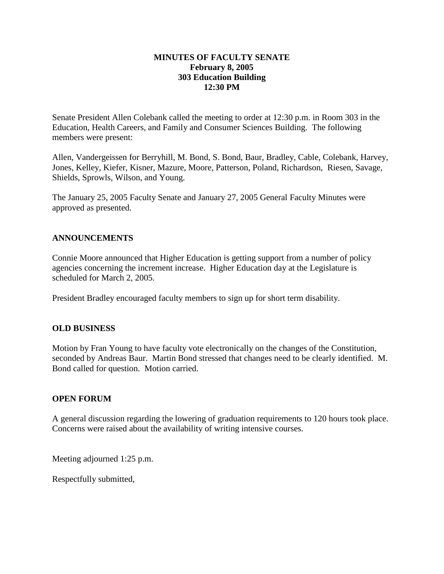## **MINUTES OF FACULTY SENATE February 8, 2005 303 Education Building 12:30 PM**

Senate President Allen Colebank called the meeting to order at 12:30 p.m. in Room 303 in the Education, Health Careers, and Family and Consumer Sciences Building. The following members were present:

Allen, Vandergeissen for Berryhill, M. Bond, S. Bond, Baur, Bradley, Cable, Colebank, Harvey, Jones, Kelley, Kiefer, Kisner, Mazure, Moore, Patterson, Poland, Richardson, Riesen, Savage, Shields, Sprowls, Wilson, and Young.

The January 25, 2005 Faculty Senate and January 27, 2005 General Faculty Minutes were approved as presented.

## **ANNOUNCEMENTS**

Connie Moore announced that Higher Education is getting support from a number of policy agencies concerning the increment increase. Higher Education day at the Legislature is scheduled for March 2, 2005.

President Bradley encouraged faculty members to sign up for short term disability.

## **OLD BUSINESS**

Motion by Fran Young to have faculty vote electronically on the changes of the Constitution, seconded by Andreas Baur. Martin Bond stressed that changes need to be clearly identified. M. Bond called for question. Motion carried.

## **OPEN FORUM**

A general discussion regarding the lowering of graduation requirements to 120 hours took place. Concerns were raised about the availability of writing intensive courses.

Meeting adjourned 1:25 p.m.

Respectfully submitted,